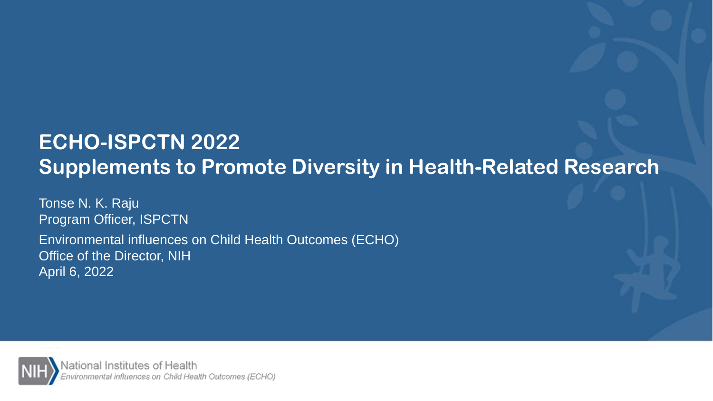## **ECHO-ISPCTN 2022 Supplements to Promote Diversity in Health-Related Research**

Tonse N. K. Raju Program Officer, ISPCTN Environmental influences on Child Health Outcomes (ECHO) Office of the Director, NIH April 6, 2022

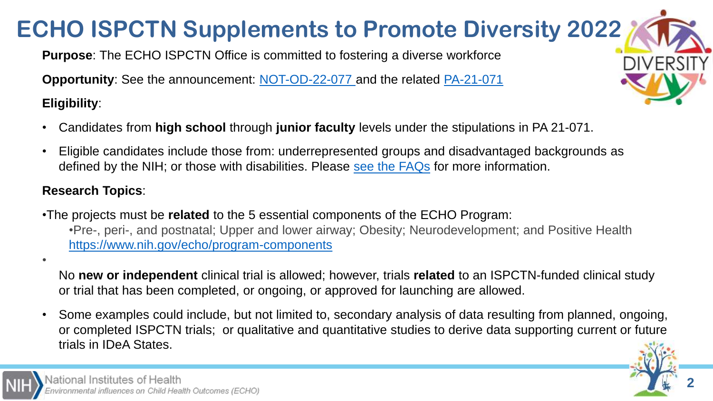## **ECHO ISPCTN Supplements to Promote Diversity 2022**

**Purpose**: The ECHO ISPCTN Office is committed to fostering a diverse workforce

**Opportunity:** See the announcement: [NOT-OD-22-077](https://grants.nih.gov/grants/guide/notice-files/NOT-OD-22-077.html) and the related [PA-21-071](https://grants.nih.gov/grants/guide/pa-files/PA-21-071.html)

**Eligibility**:

•

- Candidates from **high school** through **junior faculty** levels under the stipulations in PA 21-071.
- Eligible candidates include those from: underrepresented groups and disadvantaged backgrounds as defined by the NIH; or those with disabilities. Please [see the FAQs](https://www.nih.gov/sites/default/files/research-training/initiatives/echo/FAQ-V6-NOT-OD-22-077.pdf) for more information.

### **Research Topics**:

- •The projects must be **related** to the 5 essential components of the ECHO Program: •Pre-, peri-, and postnatal; Upper and lower airway; Obesity; Neurodevelopment; and Positive Health <https://www.nih.gov/echo/program-components>
	- No **new or independent** clinical trial is allowed; however, trials **related** to an ISPCTN-funded clinical study or trial that has been completed, or ongoing, or approved for launching are allowed.
- Some examples could include, but not limited to, secondary analysis of data resulting from planned, ongoing, or completed ISPCTN trials; or qualitative and quantitative studies to derive data supporting current or future trials in IDeA States.



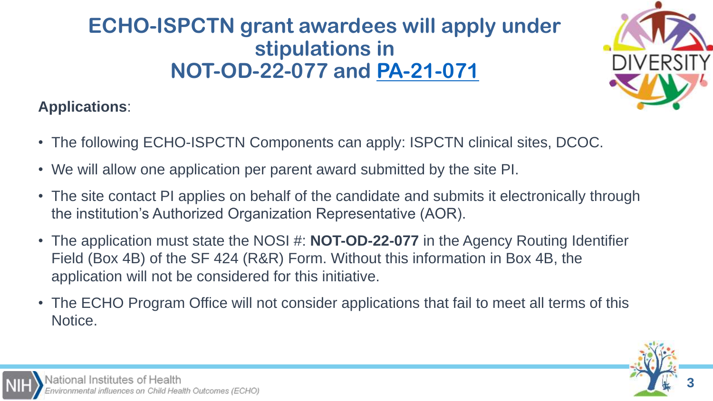### **ECHO-ISPCTN grant awardees will apply under stipulations in NOT-OD-22-077 and [PA-21-071](https://grants.nih.gov/grants/guide/pa-files/PA-21-071.html)**



### **Applications**:

- The following ECHO-ISPCTN Components can apply: ISPCTN clinical sites, DCOC.
- We will allow one application per parent award submitted by the site PI.
- The site contact PI applies on behalf of the candidate and submits it electronically through the institution's Authorized Organization Representative (AOR).
- The application must state the NOSI #: **NOT-OD-22-077** in the Agency Routing Identifier Field (Box 4B) of the SF 424 (R&R) Form. Without this information in Box 4B, the application will not be considered for this initiative.
- The ECHO Program Office will not consider applications that fail to meet all terms of this Notice.

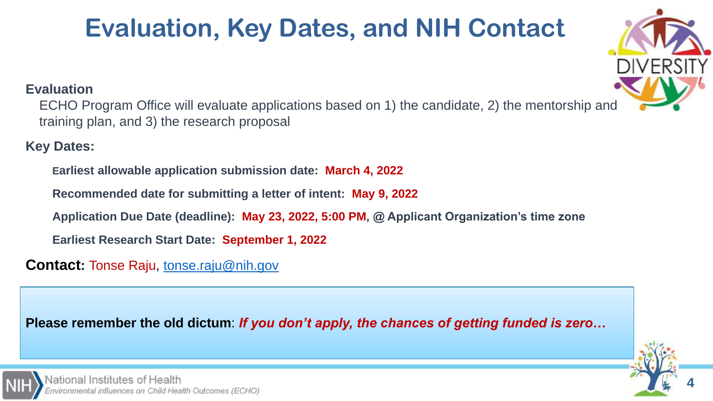# **Evaluation, Key Dates, and NIH Contact**



**4**

#### **Evaluation**

ECHO Program Office will evaluate applications based on 1) the candidate, 2) the mentorship and training plan, and 3) the research proposal

**Key Dates:**

**Earliest allowable application submission date: March 4, 2022**

**Recommended date for submitting a letter of intent: May 9, 2022**

**Application Due Date (deadline): May 23, 2022, 5:00 PM, @ Applicant Organization's time zone**

**Earliest Research Start Date: September 1, 2022**

**Contact:** Tonse Raju, [tonse.raju@nih.gov](mailto:tonse.raju@nih.gov)

**Please remember the old dictum**: *If you don't apply, the chances of getting funded is zero…*